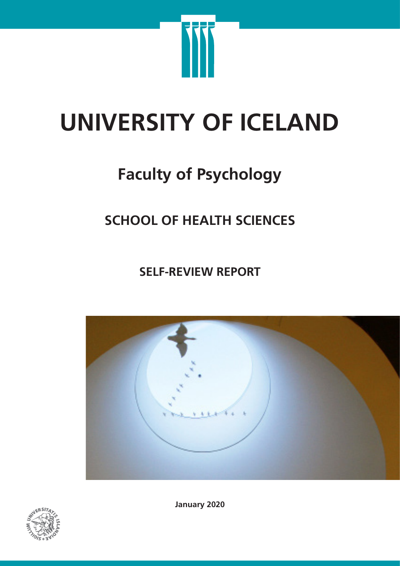

# **UNIVERSITY OF ICELAND**

## **Faculty of Psychology**

## **SCHOOL OF HEALTH SCIENCES**

**SELF-REVIEW REPORT**





**January 2020**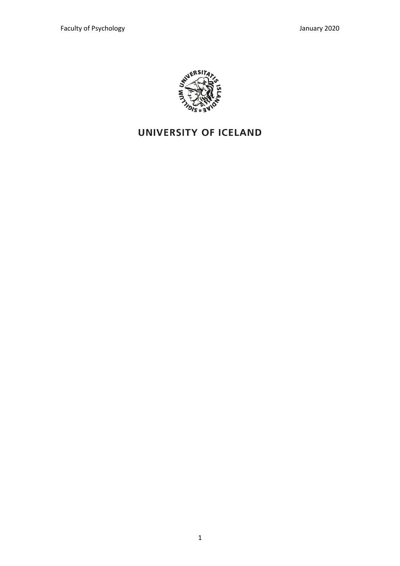

### **UNIVERSITY OF ICELAND**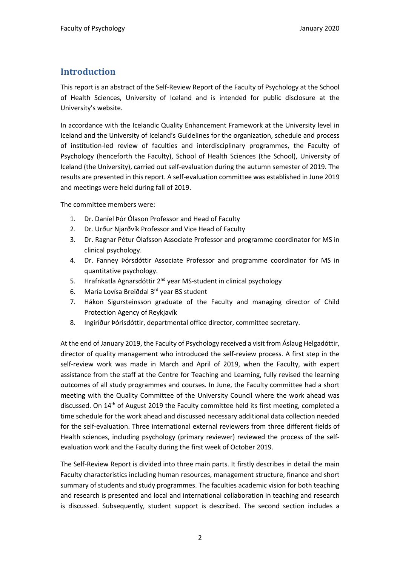#### **Introduction**

This report is an abstract of the Self-Review Report of the Faculty of Psychology at the School of Health Sciences, University of Iceland and is intended for public disclosure at the University's website.

In accordance with the Icelandic Quality Enhancement Framework at the University level in Iceland and the University of Iceland's Guidelines for the organization, schedule and process of institution-led review of faculties and interdisciplinary programmes, the Faculty of Psychology (henceforth the Faculty), School of Health Sciences (the School), University of Iceland (the University), carried out self-evaluation during the autumn semester of 2019. The results are presented in this report. A self-evaluation committee was established in June 2019 and meetings were held during fall of 2019.

The committee members were:

- 1. Dr. Daníel Þór Ólason Professor and Head of Faculty
- 2. Dr. Urður Njarðvík Professor and Vice Head of Faculty
- 3. Dr. Ragnar Pétur Ólafsson Associate Professor and programme coordinator for MS in clinical psychology.
- 4. Dr. Fanney Þórsdóttir Associate Professor and programme coordinator for MS in quantitative psychology.
- 5. Hrafnkatla Agnarsdóttir 2<sup>nd</sup> year MS-student in clinical psychology
- 6. María Lovísa Breiðdal 3rd year BS student
- 7. Hákon Sigursteinsson graduate of the Faculty and managing director of Child Protection Agency of Reykjavík
- 8. Ingiríður Þórisdóttir, departmental office director, committee secretary.

At the end of January 2019, the Faculty of Psychology received a visit from Áslaug Helgadóttir, director of quality management who introduced the self-review process. A first step in the self-review work was made in March and April of 2019, when the Faculty, with expert assistance from the staff at the Centre for Teaching and Learning, fully revised the learning outcomes of all study programmes and courses. In June, the Faculty committee had a short meeting with the Quality Committee of the University Council where the work ahead was discussed. On  $14<sup>th</sup>$  of August 2019 the Faculty committee held its first meeting, completed a time schedule for the work ahead and discussed necessary additional data collection needed for the self-evaluation. Three international external reviewers from three different fields of Health sciences, including psychology (primary reviewer) reviewed the process of the selfevaluation work and the Faculty during the first week of October 2019.

The Self-Review Report is divided into three main parts. It firstly describes in detail the main Faculty characteristics including human resources, management structure, finance and short summary of students and study programmes. The faculties academic vision for both teaching and research is presented and local and international collaboration in teaching and research is discussed. Subsequently, student support is described. The second section includes a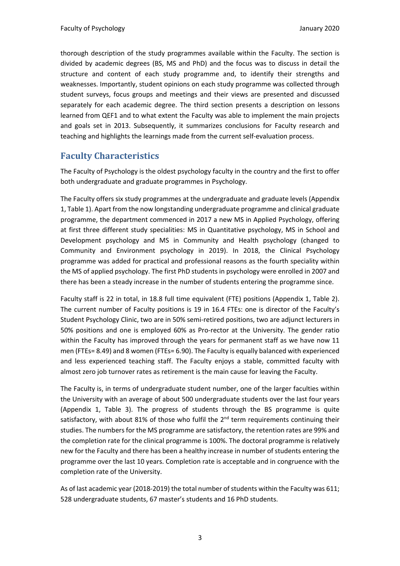thorough description of the study programmes available within the Faculty. The section is divided by academic degrees (BS, MS and PhD) and the focus was to discuss in detail the structure and content of each study programme and, to identify their strengths and weaknesses. Importantly, student opinions on each study programme was collected through student surveys, focus groups and meetings and their views are presented and discussed separately for each academic degree. The third section presents a description on lessons learned from QEF1 and to what extent the Faculty was able to implement the main projects and goals set in 2013. Subsequently, it summarizes conclusions for Faculty research and teaching and highlights the learnings made from the current self-evaluation process.

#### **Faculty Characteristics**

The Faculty of Psychology is the oldest psychology faculty in the country and the first to offer both undergraduate and graduate programmes in Psychology.

The Faculty offers six study programmes at the undergraduate and graduate levels (Appendix 1, Table 1). Apart from the now longstanding undergraduate programme and clinical graduate programme, the department commenced in 2017 a new MS in Applied Psychology, offering at first three different study specialities: MS in Quantitative psychology, MS in School and Development psychology and MS in Community and Health psychology (changed to Community and Environment psychology in 2019). In 2018, the Clinical Psychology programme was added for practical and professional reasons as the fourth speciality within the MS of applied psychology. The first PhD students in psychology were enrolled in 2007 and there has been a steady increase in the number of students entering the programme since.

Faculty staff is 22 in total, in 18.8 full time equivalent (FTE) positions (Appendix 1, Table 2). The current number of Faculty positions is 19 in 16.4 FTEs: one is director of the Faculty's Student Psychology Clinic, two are in 50% semi-retired positions, two are adjunct lecturers in 50% positions and one is employed 60% as Pro-rector at the University. The gender ratio within the Faculty has improved through the years for permanent staff as we have now 11 men (FTEs= 8.49) and 8 women (FTEs= 6.90). The Faculty is equally balanced with experienced and less experienced teaching staff. The Faculty enjoys a stable, committed faculty with almost zero job turnover rates as retirement is the main cause for leaving the Faculty.

The Faculty is, in terms of undergraduate student number, one of the larger faculties within the University with an average of about 500 undergraduate students over the last four years (Appendix 1, Table 3). The progress of students through the BS programme is quite satisfactory, with about 81% of those who fulfil the  $2^{nd}$  term requirements continuing their studies. The numbers for the MS programme are satisfactory, the retention rates are 99% and the completion rate for the clinical programme is 100%. The doctoral programme is relatively new for the Faculty and there has been a healthy increase in number of students entering the programme over the last 10 years. Completion rate is acceptable and in congruence with the completion rate of the University.

As of last academic year (2018-2019) the total number of students within the Faculty was 611; 528 undergraduate students, 67 master's students and 16 PhD students.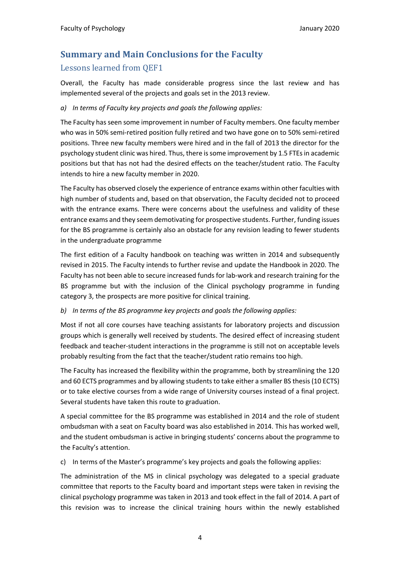## **Summary and Main Conclusions for the Faculty**

#### Lessons learned from OEF1

Overall, the Faculty has made considerable progress since the last review and has implemented several of the projects and goals set in the 2013 review.

#### *a) In terms of Faculty key projects and goals the following applies:*

The Faculty has seen some improvement in number of Faculty members. One faculty member who was in 50% semi-retired position fully retired and two have gone on to 50% semi-retired positions. Three new faculty members were hired and in the fall of 2013 the director for the psychology student clinic was hired. Thus, there is some improvement by 1.5 FTEs in academic positions but that has not had the desired effects on the teacher/student ratio. The Faculty intends to hire a new faculty member in 2020.

The Faculty has observed closely the experience of entrance exams within other faculties with high number of students and, based on that observation, the Faculty decided not to proceed with the entrance exams. There were concerns about the usefulness and validity of these entrance exams and they seem demotivating for prospective students. Further, funding issues for the BS programme is certainly also an obstacle for any revision leading to fewer students in the undergraduate programme

The first edition of a Faculty handbook on teaching was written in 2014 and subsequently revised in 2015. The Faculty intends to further revise and update the Handbook in 2020. The Faculty has not been able to secure increased funds for lab-work and research training for the BS programme but with the inclusion of the Clinical psychology programme in funding category 3, the prospects are more positive for clinical training.

#### *b) In terms of the BS programme key projects and goals the following applies:*

Most if not all core courses have teaching assistants for laboratory projects and discussion groups which is generally well received by students. The desired effect of increasing student feedback and teacher-student interactions in the programme is still not on acceptable levels probably resulting from the fact that the teacher/student ratio remains too high.

The Faculty has increased the flexibility within the programme, both by streamlining the 120 and 60 ECTS programmes and by allowing students to take either a smaller BS thesis (10 ECTS) or to take elective courses from a wide range of University courses instead of a final project. Several students have taken this route to graduation.

A special committee for the BS programme was established in 2014 and the role of student ombudsman with a seat on Faculty board was also established in 2014. This has worked well, and the student ombudsman is active in bringing students' concerns about the programme to the Faculty's attention.

c) In terms of the Master's programme's key projects and goals the following applies:

The administration of the MS in clinical psychology was delegated to a special graduate committee that reports to the Faculty board and important steps were taken in revising the clinical psychology programme was taken in 2013 and took effect in the fall of 2014. A part of this revision was to increase the clinical training hours within the newly established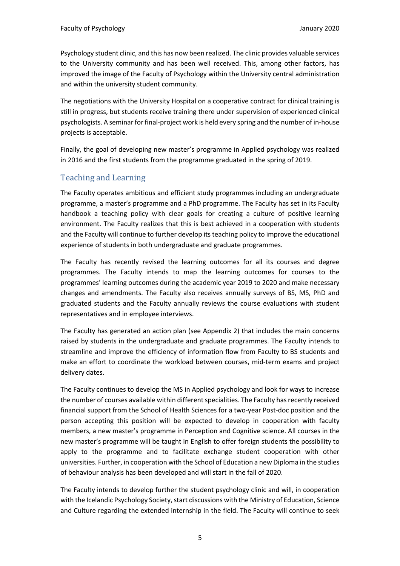Psychology student clinic, and this has now been realized. The clinic provides valuable services to the University community and has been well received. This, among other factors, has improved the image of the Faculty of Psychology within the University central administration and within the university student community.

The negotiations with the University Hospital on a cooperative contract for clinical training is still in progress, but students receive training there under supervision of experienced clinical psychologists. A seminar for final-project work is held every spring and the number of in-house projects is acceptable.

Finally, the goal of developing new master's programme in Applied psychology was realized in 2016 and the first students from the programme graduated in the spring of 2019.

#### Teaching and Learning

The Faculty operates ambitious and efficient study programmes including an undergraduate programme, a master's programme and a PhD programme. The Faculty has set in its Faculty handbook a teaching policy with clear goals for creating a culture of positive learning environment. The Faculty realizes that this is best achieved in a cooperation with students and the Faculty will continue to further develop its teaching policy to improve the educational experience of students in both undergraduate and graduate programmes.

The Faculty has recently revised the learning outcomes for all its courses and degree programmes. The Faculty intends to map the learning outcomes for courses to the programmes' learning outcomes during the academic year 2019 to 2020 and make necessary changes and amendments. The Faculty also receives annually surveys of BS, MS, PhD and graduated students and the Faculty annually reviews the course evaluations with student representatives and in employee interviews.

The Faculty has generated an action plan (see Appendix 2) that includes the main concerns raised by students in the undergraduate and graduate programmes. The Faculty intends to streamline and improve the efficiency of information flow from Faculty to BS students and make an effort to coordinate the workload between courses, mid-term exams and project delivery dates.

The Faculty continues to develop the MS in Applied psychology and look for ways to increase the number of courses available within different specialities. The Faculty has recently received financial support from the School of Health Sciences for a two-year Post-doc position and the person accepting this position will be expected to develop in cooperation with faculty members, a new master's programme in Perception and Cognitive science. All courses in the new master's programme will be taught in English to offer foreign students the possibility to apply to the programme and to facilitate exchange student cooperation with other universities. Further, in cooperation with the School of Education a new Diploma in the studies of behaviour analysis has been developed and will start in the fall of 2020.

The Faculty intends to develop further the student psychology clinic and will, in cooperation with the Icelandic Psychology Society, start discussions with the Ministry of Education, Science and Culture regarding the extended internship in the field. The Faculty will continue to seek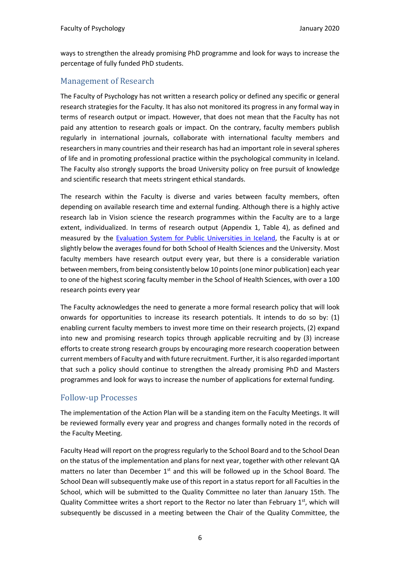ways to strengthen the already promising PhD programme and look for ways to increase the percentage of fully funded PhD students.

#### Management of Research

The Faculty of Psychology has not written a research policy or defined any specific or general research strategies for the Faculty. It has also not monitored its progress in any formal way in terms of research output or impact. However, that does not mean that the Faculty has not paid any attention to research goals or impact. On the contrary, faculty members publish regularly in international journals, collaborate with international faculty members and researchers in many countries and their research has had an important role in several spheres of life and in promoting professional practice within the psychological community in Iceland. The Faculty also strongly supports the broad University policy on free pursuit of knowledge and scientific research that meets stringent ethical standards.

The research within the Faculty is diverse and varies between faculty members, often depending on available research time and external funding. Although there is a highly active research lab in Vision science the research programmes within the Faculty are to a large extent, individualized. In terms of research output (Appendix 1, Table 4), as defined and measured by the Evaluation System for Public Universities in Iceland, the Faculty is at or slightly below the averages found for both School of Health Sciences and the University. Most faculty members have research output every year, but there is a considerable variation between members, from being consistently below 10 points (one minor publication) each year to one of the highest scoring faculty member in the School of Health Sciences, with over a 100 research points every year

The Faculty acknowledges the need to generate a more formal research policy that will look onwards for opportunities to increase its research potentials. It intends to do so by: (1) enabling current faculty members to invest more time on their research projects, (2) expand into new and promising research topics through applicable recruiting and by (3) increase efforts to create strong research groups by encouraging more research cooperation between current members of Faculty and with future recruitment. Further, it is also regarded important that such a policy should continue to strengthen the already promising PhD and Masters programmes and look for ways to increase the number of applications for external funding.

#### Follow-up Processes

The implementation of the Action Plan will be a standing item on the Faculty Meetings. It will be reviewed formally every year and progress and changes formally noted in the records of the Faculty Meeting.

Faculty Head will report on the progress regularly to the School Board and to the School Dean on the status of the implementation and plans for next year, together with other relevant QA matters no later than December  $1<sup>st</sup>$  and this will be followed up in the School Board. The School Dean will subsequently make use of this report in a status report for all Faculties in the School, which will be submitted to the Quality Committee no later than January 15th. The Quality Committee writes a short report to the Rector no later than February  $1<sup>st</sup>$ , which will subsequently be discussed in a meeting between the Chair of the Quality Committee, the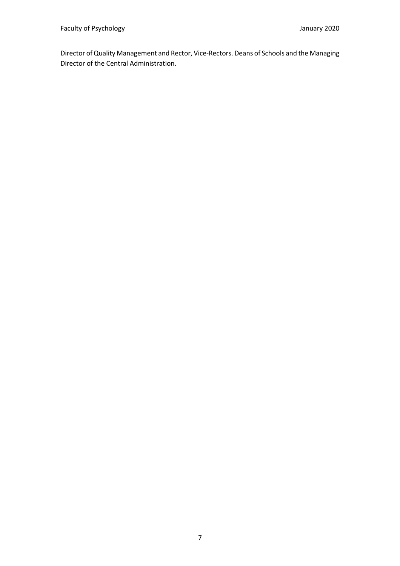Director of Quality Management and Rector, Vice-Rectors. Deans of Schools and the Managing Director of the Central Administration.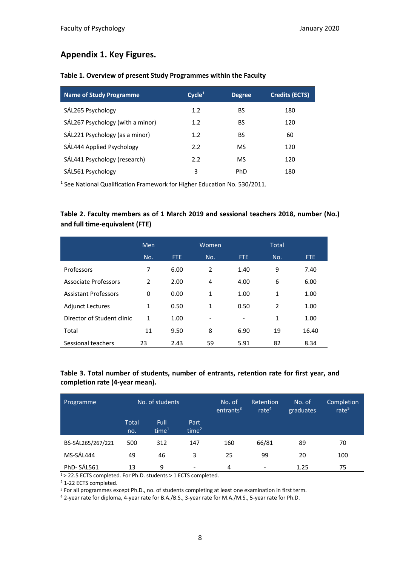#### **Appendix 1. Key Figures.**

#### **Table 1. Overview of present Study Programmes within the Faculty**

| <b>Name of Study Programme</b>   | $C$ vcle $1$ | <b>Degree</b> | <b>Credits (ECTS)</b> |
|----------------------------------|--------------|---------------|-----------------------|
| SÁL265 Psychology                | 1.2          | BS            | 180                   |
| SÁL267 Psychology (with a minor) | 1.2          | BS            | 120                   |
| SÁL221 Psychology (as a minor)   | 1.2          | BS            | 60                    |
| SAL444 Applied Psychology        | 2.2          | <b>MS</b>     | 120                   |
| SÁL441 Psychology (research)     | 2.2          | <b>MS</b>     | 120                   |
| SAL561 Psychology                | 3            | PhD           | 180                   |

<sup>1</sup> See National Qualification Framework for Higher Education No. 530/2011.

#### **Table 2. Faculty members as of 1 March 2019 and sessional teachers 2018, number (No.) and full time-equivalent (FTE)**

|                             | <b>Men</b>     |            | Women |                          | <b>Total</b>   |       |
|-----------------------------|----------------|------------|-------|--------------------------|----------------|-------|
|                             | No.            | <b>FTE</b> | No.   | FTE.                     | No.            | FTE.  |
| Professors                  | 7              | 6.00       | 2     | 1.40                     | 9              | 7.40  |
| <b>Associate Professors</b> | $\overline{2}$ | 2.00       | 4     | 4.00                     | 6              | 6.00  |
| <b>Assistant Professors</b> | 0              | 0.00       | 1     | 1.00                     | 1              | 1.00  |
| <b>Adjunct Lectures</b>     | 1              | 0.50       | 1     | 0.50                     | $\overline{2}$ | 1.00  |
| Director of Student clinic  | 1              | 1.00       |       | $\overline{\phantom{0}}$ | $\mathbf{1}$   | 1.00  |
| Total                       | 11             | 9.50       | 8     | 6.90                     | 19             | 16.40 |
| Sessional teachers          | 23             | 2.43       | 59    | 5.91                     | 82             | 8.34  |

#### **Table 3. Total number of students, number of entrants, retention rate for first year, and completion rate (4-year mean).**

| Programme         |              | No. of students           |                           | No. of<br>entrants <sup>3</sup> | Retention<br>rate $4$    | No. of<br>graduates | Completion<br>rate $5$ |
|-------------------|--------------|---------------------------|---------------------------|---------------------------------|--------------------------|---------------------|------------------------|
|                   | Total<br>no. | Full<br>time <sup>1</sup> | Part<br>time <sup>2</sup> |                                 |                          |                     |                        |
| BS-SÁL265/267/221 | 500          | 312                       | 147                       | 160                             | 66/81                    | 89                  | 70                     |
| MS-SÁL444         | 49           | 46                        | 3                         | 25                              | 99                       | 20                  | 100                    |
| PhD-SÁL561        | 13           | 9                         | $\overline{\phantom{0}}$  | 4                               | $\overline{\phantom{a}}$ | 1.25                | 75                     |

 $1$  > 22.5 ECTS completed. For Ph.D. students > 1 ECTS completed.

<sup>2</sup> 1-22 ECTS completed.

<sup>3</sup> For all programmes except Ph.D., no. of students completing at least one examination in first term.

<sup>4</sup> 2-year rate for diploma, 4-year rate for B.A./B.S., 3-year rate for M.A./M.S., 5-year rate for Ph.D.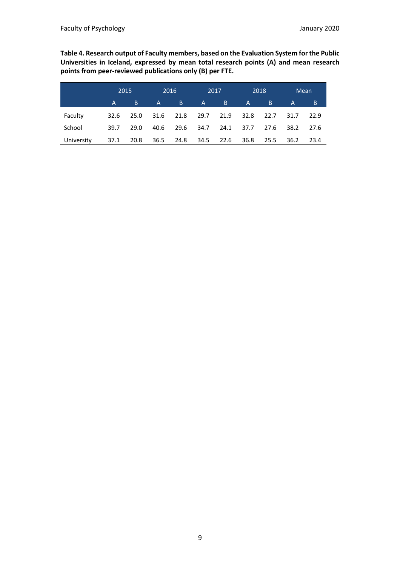**Table 4. Research output of Faculty members, based on the Evaluation System for the Public Universities in Iceland, expressed by mean total research points (A) and mean research points from peer-reviewed publications only (B) per FTE.**

|            | 2015 |      | 2016         |      |        | 2017 | 2018 |      |      | <b>Mean</b> |
|------------|------|------|--------------|------|--------|------|------|------|------|-------------|
|            | A    | B    | $\mathsf{A}$ | B.   | A      | B.   | A    | B.   | A    | B           |
| Faculty    | 32.6 | 25.0 | 31.6         | 21.8 | 29.7   | 21.9 | 32.8 | 22.7 | 31.7 | 22.9        |
| School     | 39.7 | 29.0 | 40.6         | 29.6 | - 34.7 | 24.1 | 37.7 | 27.6 | 38.2 | 27.6        |
| University | 37.1 | 20.8 | 36.5         | 24.8 | 34.5   | 22.6 | 36.8 | 25.5 | 36.2 | 23.4        |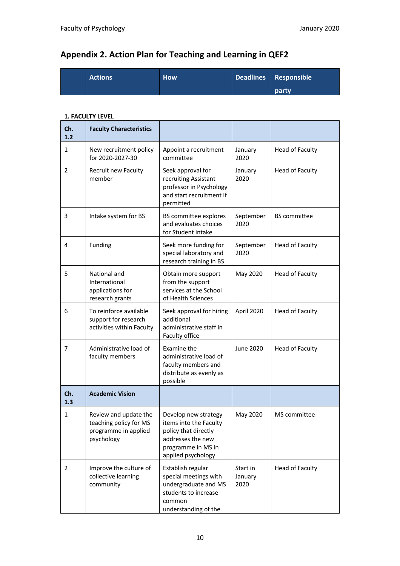### **Appendix 2. Action Plan for Teaching and Learning in QEF2**

| <b>Actions</b> | <b>How</b> | Deadlines Responsible |
|----------------|------------|-----------------------|
|                |            | party                 |

#### **1. FACULTY LEVEL**

| Ch.<br>1.2     | <b>Faculty Characteristics</b>                                                        |                                                                                                                                         |                             |                        |
|----------------|---------------------------------------------------------------------------------------|-----------------------------------------------------------------------------------------------------------------------------------------|-----------------------------|------------------------|
| 1              | New recruitment policy<br>for 2020-2027-30                                            | Appoint a recruitment<br>committee                                                                                                      | January<br>2020             | Head of Faculty        |
| $\overline{2}$ | Recruit new Faculty<br>member                                                         | Seek approval for<br>recruiting Assistant<br>professor in Psychology<br>and start recruitment if<br>permitted                           | January<br>2020             | <b>Head of Faculty</b> |
| 3              | Intake system for BS                                                                  | BS committee explores<br>and evaluates choices<br>for Student intake                                                                    | September<br>2020           | <b>BS</b> committee    |
| 4              | Funding                                                                               | Seek more funding for<br>special laboratory and<br>research training in BS                                                              | September<br>2020           | Head of Faculty        |
| 5              | National and<br>International<br>applications for<br>research grants                  | Obtain more support<br>from the support<br>services at the School<br>of Health Sciences                                                 | May 2020                    | Head of Faculty        |
| 6              | To reinforce available<br>support for research<br>activities within Faculty           | Seek approval for hiring<br>additional<br>administrative staff in<br>Faculty office                                                     | April 2020                  | <b>Head of Faculty</b> |
| 7              | Administrative load of<br>faculty members                                             | Examine the<br>administrative load of<br>faculty members and<br>distribute as evenly as<br>possible                                     | <b>June 2020</b>            | <b>Head of Faculty</b> |
| Ch.<br>1.3     | <b>Academic Vision</b>                                                                |                                                                                                                                         |                             |                        |
| 1              | Review and update the<br>teaching policy for MS<br>programme in applied<br>psychology | Develop new strategy<br>items into the Faculty<br>policy that directly<br>addresses the new<br>programme in MS in<br>applied psychology | May 2020                    | MS committee           |
| $\overline{2}$ | Improve the culture of<br>collective learning<br>community                            | Establish regular<br>special meetings with<br>undergraduate and MS<br>students to increase<br>common<br>understanding of the            | Start in<br>January<br>2020 | <b>Head of Faculty</b> |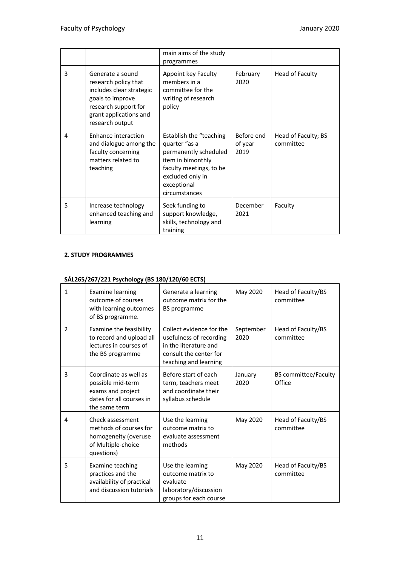|   |                                                                                                                                                               | main aims of the study<br>programmes                                                                                                                                   |                               |                                  |
|---|---------------------------------------------------------------------------------------------------------------------------------------------------------------|------------------------------------------------------------------------------------------------------------------------------------------------------------------------|-------------------------------|----------------------------------|
| 3 | Generate a sound<br>research policy that<br>includes clear strategic<br>goals to improve<br>research support for<br>grant applications and<br>research output | Appoint key Faculty<br>members in a<br>committee for the<br>writing of research<br>policy                                                                              | February<br>2020              | Head of Faculty                  |
| 4 | <b>Enhance interaction</b><br>and dialogue among the<br>faculty concerning<br>matters related to<br>teaching                                                  | Establish the "teaching"<br>quarter "as a<br>permanently scheduled<br>item in bimonthly<br>faculty meetings, to be<br>excluded only in<br>exceptional<br>circumstances | Before end<br>of year<br>2019 | Head of Faculty; BS<br>committee |
| 5 | Increase technology<br>enhanced teaching and<br>learning                                                                                                      | Seek funding to<br>support knowledge,<br>skills, technology and<br>training                                                                                            | December<br>2021              | Faculty                          |

#### **2. STUDY PROGRAMMES**

#### **SÁL265/267/221 Psychology (BS 180/120/60 ECTS)**

| $\mathbf{1}$   | <b>Examine learning</b><br>outcome of courses<br>with learning outcomes<br>of BS programme.                  | Generate a learning<br>outcome matrix for the<br><b>BS</b> programme                                                            | May 2020          | Head of Faculty/BS<br>committee       |
|----------------|--------------------------------------------------------------------------------------------------------------|---------------------------------------------------------------------------------------------------------------------------------|-------------------|---------------------------------------|
| $\overline{2}$ | Examine the feasibility<br>to record and upload all<br>lectures in courses of<br>the BS programme            | Collect evidence for the<br>usefulness of recording<br>in the literature and<br>consult the center for<br>teaching and learning | September<br>2020 | Head of Faculty/BS<br>committee       |
| 3              | Coordinate as well as<br>possible mid-term<br>exams and project<br>dates for all courses in<br>the same term | Before start of each<br>term, teachers meet<br>and coordinate their<br>syllabus schedule                                        | January<br>2020   | <b>BS</b> committee/Faculty<br>Office |
| 4              | Check assessment<br>methods of courses for<br>homogeneity (overuse<br>of Multiple-choice<br>questions)       | Use the learning<br>outcome matrix to<br>evaluate assessment<br>methods                                                         | May 2020          | Head of Faculty/BS<br>committee       |
| 5              | Examine teaching<br>practices and the<br>availability of practical<br>and discussion tutorials               | Use the learning<br>outcome matrix to<br>evaluate<br>laboratory/discussion<br>groups for each course                            | May 2020          | Head of Faculty/BS<br>committee       |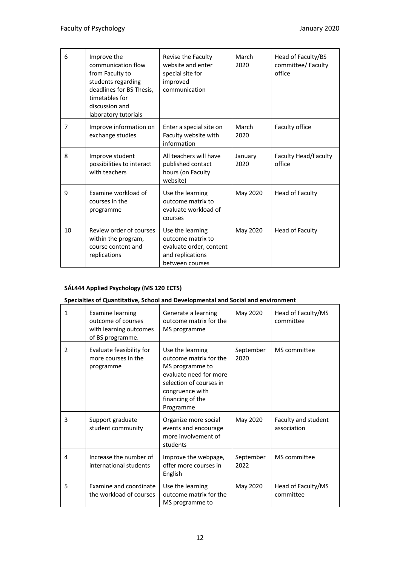| 6              | Improve the<br>communication flow<br>from Faculty to<br>students regarding<br>deadlines for BS Thesis,<br>timetables for<br>discussion and<br>laboratory tutorials | Revise the Faculty<br>website and enter<br>special site for<br>improved<br>communication                | March<br>2020   | Head of Faculty/BS<br>committee/ Faculty<br>office |
|----------------|--------------------------------------------------------------------------------------------------------------------------------------------------------------------|---------------------------------------------------------------------------------------------------------|-----------------|----------------------------------------------------|
| $\overline{7}$ | Improve information on<br>exchange studies                                                                                                                         | Enter a special site on<br>Faculty website with<br>information                                          | March<br>2020   | Faculty office                                     |
| 8              | Improve student<br>possibilities to interact<br>with teachers                                                                                                      | All teachers will have<br>published contact<br>hours (on Faculty<br>website)                            | January<br>2020 | Faculty Head/Faculty<br>office                     |
| 9              | Examine workload of<br>courses in the<br>programme                                                                                                                 | Use the learning<br>outcome matrix to<br>evaluate workload of<br>courses                                | May 2020        | Head of Faculty                                    |
| 10             | Review order of courses<br>within the program,<br>course content and<br>replications                                                                               | Use the learning<br>outcome matrix to<br>evaluate order, content<br>and replications<br>between courses | May 2020        | Head of Faculty                                    |

#### **SÁL444 Applied Psychology (MS 120 ECTS)**

#### **Specialties of Quantitative, School and Developmental and Social and environment**

| 1 | <b>Examine learning</b><br>outcome of courses<br>with learning outcomes<br>of BS programme. | Generate a learning<br>outcome matrix for the<br>MS programme                                                                                                          | May 2020          | Head of Faculty/MS<br>committee    |
|---|---------------------------------------------------------------------------------------------|------------------------------------------------------------------------------------------------------------------------------------------------------------------------|-------------------|------------------------------------|
| 2 | Evaluate feasibility for<br>more courses in the<br>programme                                | Use the learning<br>outcome matrix for the<br>MS programme to<br>evaluate need for more<br>selection of courses in<br>congruence with<br>financing of the<br>Programme | September<br>2020 | MS committee                       |
| 3 | Support graduate<br>student community                                                       | Organize more social<br>events and encourage<br>more involvement of<br>students                                                                                        | May 2020          | Faculty and student<br>association |
| 4 | Increase the number of<br>international students                                            | Improve the webpage,<br>offer more courses in<br>English                                                                                                               | September<br>2022 | MS committee                       |
| 5 | Examine and coordinate<br>the workload of courses                                           | Use the learning<br>outcome matrix for the<br>MS programme to                                                                                                          | May 2020          | Head of Faculty/MS<br>committee    |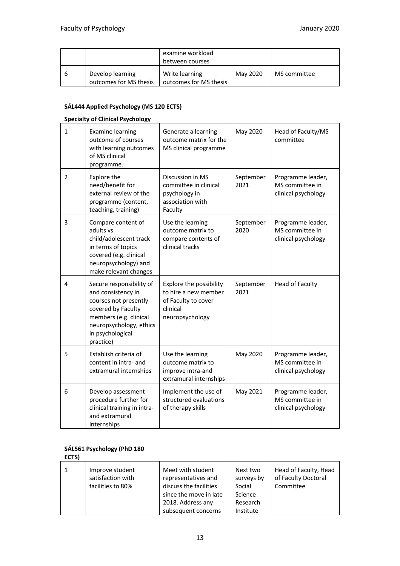|                                            | examine workload<br>between courses      |          |              |
|--------------------------------------------|------------------------------------------|----------|--------------|
| Develop learning<br>outcomes for MS thesis | Write learning<br>outcomes for MS thesis | May 2020 | MS committee |

#### **SÁL444 Applied Psychology (MS 120 ECTS)**

#### **Specialty of Clinical Psychology**

| $\mathbf{1}$   | <b>Examine learning</b><br>outcome of courses<br>with learning outcomes<br>of MS clinical<br>programme.                                                                             | Generate a learning<br>outcome matrix for the<br>MS clinical programme                                | May 2020          | Head of Faculty/MS<br>committee                             |
|----------------|-------------------------------------------------------------------------------------------------------------------------------------------------------------------------------------|-------------------------------------------------------------------------------------------------------|-------------------|-------------------------------------------------------------|
| $\overline{2}$ | Explore the<br>need/benefit for<br>external review of the<br>programme (content,<br>teaching, training)                                                                             | Discussion in MS<br>committee in clinical<br>psychology in<br>association with<br>Faculty             | September<br>2021 | Programme leader,<br>MS committee in<br>clinical psychology |
| 3              | Compare content of<br>adults vs.<br>child/adolescent track<br>in terms of topics<br>covered (e.g. clinical<br>neuropsychology) and<br>make relevant changes                         | Use the learning<br>outcome matrix to<br>compare contents of<br>clinical tracks                       | September<br>2020 | Programme leader,<br>MS committee in<br>clinical psychology |
| 4              | Secure responsibility of<br>and consistency in<br>courses not presently<br>covered by Faculty<br>members (e.g. clinical<br>neuropsychology, ethics<br>in psychological<br>practice) | Explore the possibility<br>to hire a new member<br>of Faculty to cover<br>clinical<br>neuropsychology | September<br>2021 | <b>Head of Faculty</b>                                      |
| 5              | Establish criteria of<br>content in intra- and<br>extramural internships                                                                                                            | Use the learning<br>outcome matrix to<br>improve intra-and<br>extramural internships                  | May 2020          | Programme leader,<br>MS committee in<br>clinical psychology |
| 6              | Develop assessment<br>procedure further for<br>clinical training in intra-<br>and extramural<br>internships                                                                         | Implement the use of<br>structured evaluations<br>of therapy skills                                   | May 2021          | Programme leader,<br>MS committee in<br>clinical psychology |

#### **SÁL561 Psychology (PhD 180**

| ۰, |  |
|----|--|
|    |  |

|  | Improve student<br>satisfaction with<br>facilities to 80% | Meet with student<br>representatives and<br>discuss the facilities<br>since the move in late<br>2018. Address any<br>subsequent concerns | Next two<br>surveys by<br>Social<br>Science<br>Research<br>Institute | Head of Faculty, Head<br>of Faculty Doctoral<br>Committee |
|--|-----------------------------------------------------------|------------------------------------------------------------------------------------------------------------------------------------------|----------------------------------------------------------------------|-----------------------------------------------------------|
|--|-----------------------------------------------------------|------------------------------------------------------------------------------------------------------------------------------------------|----------------------------------------------------------------------|-----------------------------------------------------------|